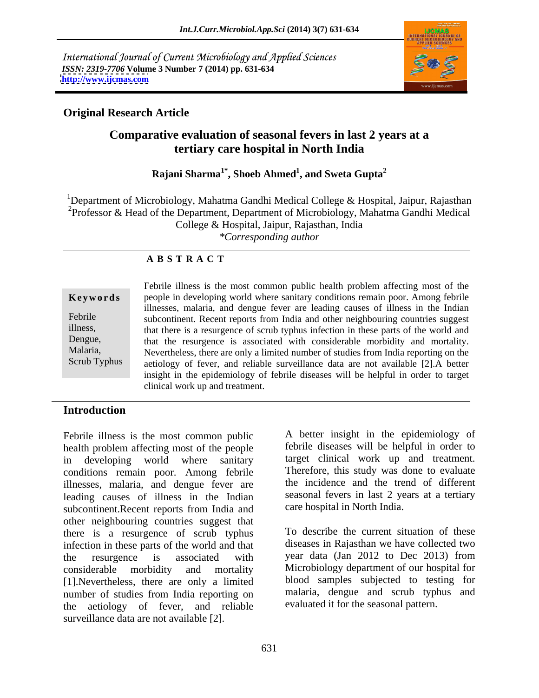International Journal of Current Microbiology and Applied Sciences *ISSN: 2319-7706* **Volume 3 Number 7 (2014) pp. 631-634 <http://www.ijcmas.com>**



# **Original Research Article**

# **Comparative evaluation of seasonal fevers in last 2 years at a tertiary care hospital in North India**

#### **Rajani Sharma1\* , Shoeb Ahmed<sup>1</sup> , and Sweta Gupta<sup>2</sup>**

<sup>1</sup>Department of Microbiology, Mahatma Gandhi Medical College & Hospital, Jaipur, Rajasthan <sup>2</sup>Professor & Head of the Department, Department of Microbiology, Mahatma Gandhi Medical College & Hospital, Jaipur, Rajasthan, India *\*Corresponding author* 

## **A B S T R A C T**

### **Keywords** people in developing world where sanitary conditions remain poor. Among febrile Febrile subcontinent. Recent reports from India and other neighbouring countries suggest illness, that there is a resurgence of scrub typhus infection in these parts of the world and Dengue, that the resurgence is associated with considerable morbidity and mortality. Malaria, Nevertheless, there are only a limited number of studies from India reporting on the Scrub Typhus aetiology of fever, and reliable surveillance data are not available [2].A better Febrile illness is the most common public health problem affecting most of the illnesses, malaria, and dengue fever are leading causes of illness in the Indian insight in the epidemiology of febrile diseases will be helpful in order to target clinical work up and treatment.

# **Introduction**

Febrile illness is the most common public health problem affecting most of the people in developing world where sanitary target clinical work up and treatment. conditions remain poor. Among febrile illnesses, malaria, and dengue fever are leading causes of illness in the Indian subcontinent.Recent reports from India and other neighbouring countries suggest that there is a resurgence of scrub typhus infection in these parts of the world and that the resurgence is associated with year data (Jan 2012 to Dec 2013) from considerable morbidity and mortality Microbiology department of our hospital for [1].Nevertheless, there are only a limited number of studies from India reporting on the aetiology of fever, and reliable surveillance data are not available [2].

A better insight in the epidemiology of febrile diseases will be helpful in order to Therefore, this study was done to evaluate the incidence and the trend of different seasonal fevers in last 2 years at a tertiary care hospital in North India.

To describe the current situation of these diseases in Rajasthan we have collected two blood samples subjected to testing for malaria, dengue and scrub typhus and evaluated it for the seasonal pattern.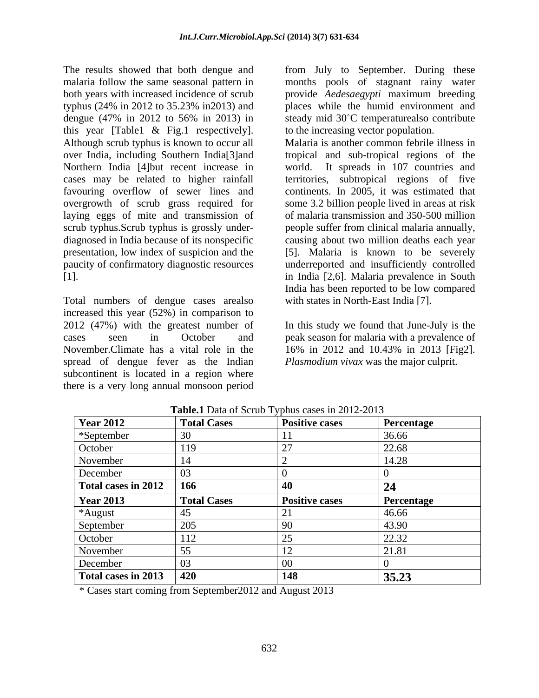The results showed that both dengue and from July to September. During these malaria follow the same seasonal pattern in months pools of stagnant rainy water both years with increased incidence of scrub provide *Aedesaegypti* maximum breeding typhus (24% in 2012 to 35.23% in2013) and places while the humid environment and dengue (47% in 2012 to 56% in 2013) in steady mid 30°C temperaturealso contribute this year [Table1 & Fig.1 respectively]. Northern India [4]but recent increase in favouring overflow of sewer lines and

Total numbers of dengue cases arealso increased this year (52%) in comparison to 2012 (47%) with the greatest number of In this study we found that June-July is the cases seen in October and peak season for malaria with a prevalence of November.Climate has a vital role in the 16% in 2012 and 10.43% in 2013 [Fig2]. spread of dengue fever as the Indian subcontinent is located in a region where there is a very long annual monsoon period

steady mid 30°C temperaturealso contribute to the increasing vector population.

Although scrub typhus is known to occur all Malaria is another common febrile illness in over India, including Southern India[3]and tropical and sub-tropical regions of the cases may be related to higher rainfall territories, subtropical regions of five overgrowth of scrub grass required for some 3.2 billion people lived in areas at risk laying eggs of mite and transmission of of malaria transmission and 350-500 million scrub typhus.Scrub typhus is grossly under- people suffer from clinical malaria annually, diagnosed in India because of its nonspecific causing about two million deaths each year presentation, low index of suspicion and the [5]. Malaria is known to be severely paucity of confirmatory diagnostic resources underreported and insufficiently controlled [1]. in India [2,6]. Malaria prevalence in South It spreads in 107 countries and continents. In 2005, it was estimated that India has been reported to be low compared with states in North-East India [7].

*Plasmodium vivax* was the major culprit.

| <b>Year 2012</b>    | <b>Total Cases</b> | <b>Positive cases</b> | Percentage |
|---------------------|--------------------|-----------------------|------------|
| *September          |                    |                       | 36.66      |
| October             |                    |                       | 22.68      |
| November            |                    |                       | 14.28      |
| December            | 03                 |                       |            |
| Total cases in 2012 | 166                | 40                    | 24         |
| <b>Year 2013</b>    | <b>Total Cases</b> | <b>Positive cases</b> | Percentage |
| *August             |                    |                       | 46.66      |
| September           | 205                |                       | 43.90      |
| October             |                    |                       | 22.32      |
| November            |                    |                       | 21.81      |
| December            | 03                 |                       |            |
| Total cases in 2013 | 420                | 148                   | 35.23      |

**Table.1** Data of Scrub Typhus cases in 2012-2013

\* Cases start coming from September2012 and August 2013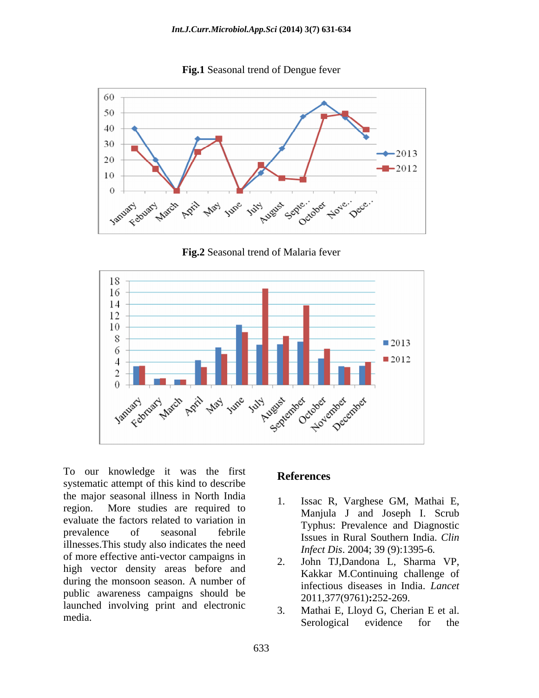**Fig.1** Seasonal trend of Dengue fever



**Fig.2** Seasonal trend of Malaria fever



Formulation our knowledge it was the first<br>systematic attempt of this kind to describe the major seasonal illness in North India region. More studies are required to evaluate the factors related to variation in prevalence of seasonal febrile Typhus. Textuence and Dughostic illnesses.This study also indicates the need of more effective anti-vector campaigns in high vector density areas before and during the monsoon season. A number of public awareness campaigns should be launched involving print and electronic

# **References**

- 1. Issac R, Varghese GM, Mathai E, Manjula J and Joseph I. Scrub Typhus: Prevalence and Diagnostic Issues in Rural Southern India. *Clin Infect Dis*. 2004; 39 (9):1395-6*.*
- 2. John TJ,Dandona L, Sharma VP, Kakkar M.Continuing challenge of infectious diseases in India. *Lancet* 2011,377(9761)**:**252-269.
- media. Serological evidence for the 3. Mathai E, Lloyd G, Cherian E et al. Serological evidence for the